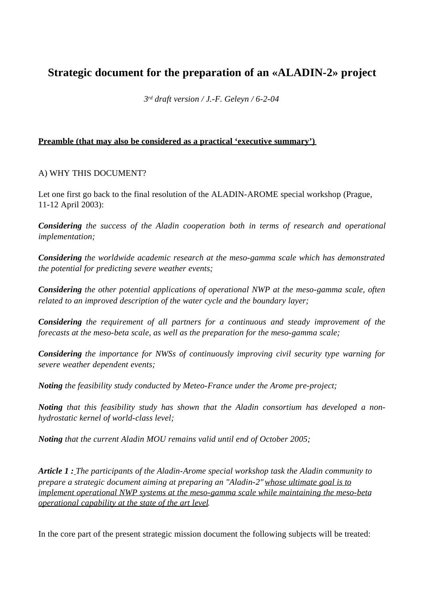# **Strategic document for the preparation of an «ALADIN-2» project**

*3 rd draft version / J.-F. Geleyn / 6-2-04*

## **Preamble (that may also be considered as a practical 'executive summary')**

## A) WHY THIS DOCUMENT?

Let one first go back to the final resolution of the ALADIN-AROME special workshop (Prague, 11-12 April 2003):

*Considering the success of the Aladin cooperation both in terms of research and operational implementation;*

*Considering the worldwide academic research at the meso-gamma scale which has demonstrated the potential for predicting severe weather events;*

*Considering the other potential applications of operational NWP at the meso-gamma scale, often related to an improved description of the water cycle and the boundary layer;*

*Considering the requirement of all partners for a continuous and steady improvement of the forecasts at the meso-beta scale, as well as the preparation for the meso-gamma scale;*

*Considering the importance for NWSs of continuously improving civil security type warning for severe weather dependent events;*

*Noting the feasibility study conducted by Meteo-France under the Arome pre-project;*

*Noting that this feasibility study has shown that the Aladin consortium has developed a nonhydrostatic kernel of world-class level;*

*Noting that the current Aladin MOU remains valid until end of October 2005;*

*Article 1 : The participants of the Aladin-Arome special workshop task the Aladin community to prepare a strategic document aiming at preparing an "Aladin-2"whose ultimate goal is to implement operational NWP systems at the meso-gamma scale while maintaining the meso-beta operational capability at the state of the art level.*

In the core part of the present strategic mission document the following subjects will be treated: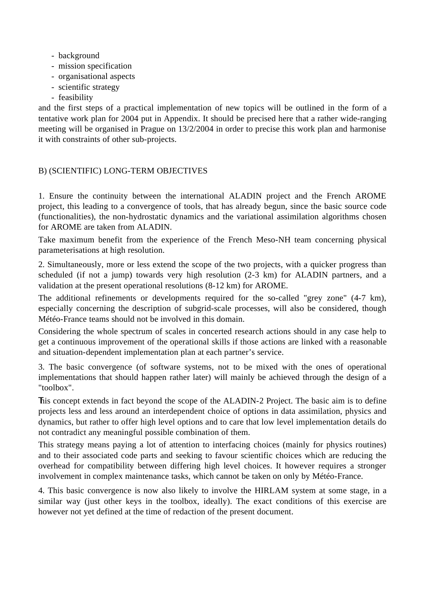- background
- mission specification
- organisational aspects
- scientific strategy
- feasibility

and the first steps of a practical implementation of new topics will be outlined in the form of a tentative work plan for 2004 put in Appendix. It should be precised here that a rather wide-ranging meeting will be organised in Prague on 13/2/2004 in order to precise this work plan and harmonise it with constraints of other sub-projects.

## B) (SCIENTIFIC) LONG-TERM OBJECTIVES

1. Ensure the continuity between the international ALADIN project and the French AROME project, this leading to a convergence of tools, that has already begun, since the basic source code (functionalities), the non-hydrostatic dynamics and the variational assimilation algorithms chosen for AROME are taken from ALADIN.

Take maximum benefit from the experience of the French Meso-NH team concerning physical parameterisations at high resolution.

2. Simultaneously, more or less extend the scope of the two projects, with a quicker progress than scheduled (if not a jump) towards very high resolution (2-3 km) for ALADIN partners, and a validation at the present operational resolutions (8-12 km) for AROME.

The additional refinements or developments required for the so-called "grey zone" (4-7 km), especially concerning the description of subgrid-scale processes, will also be considered, though Météo-France teams should not be involved in this domain.

Considering the whole spectrum of scales in concerted research actions should in any case help to get a continuous improvement of the operational skills if those actions are linked with a reasonable and situation-dependent implementation plan at each partner's service.

3. The basic convergence (of software systems, not to be mixed with the ones of operational implementations that should happen rather later) will mainly be achieved through the design of a "toolbox".

This concept extends in fact beyond the scope of the ALADIN-2 Project. The basic aim is to define projects less and less around an interdependent choice of options in data assimilation, physics and dynamics, but rather to offer high level options and to care that low level implementation details do not contradict any meaningful possible combination of them.

This strategy means paying a lot of attention to interfacing choices (mainly for physics routines) and to their associated code parts and seeking to favour scientific choices which are reducing the overhead for compatibility between differing high level choices. It however requires a stronger involvement in complex maintenance tasks, which cannot be taken on only by Météo-France.

4. This basic convergence is now also likely to involve the HIRLAM system at some stage, in a similar way (just other keys in the toolbox, ideally). The exact conditions of this exercise are however not yet defined at the time of redaction of the present document.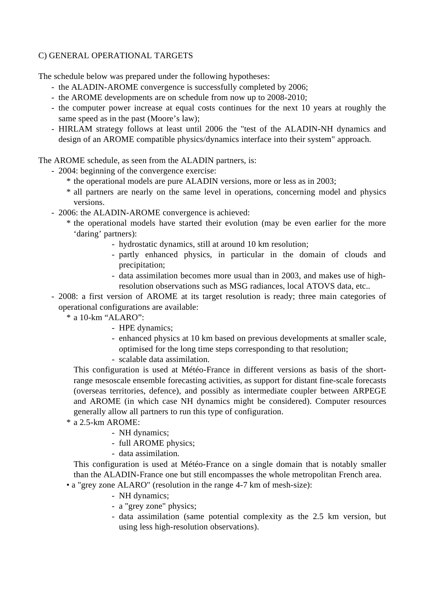## C) GENERAL OPERATIONAL TARGETS

The schedule below was prepared under the following hypotheses:

- the ALADIN-AROME convergence is successfully completed by 2006;
- the AROME developments are on schedule from now up to 2008-2010;
- the computer power increase at equal costs continues for the next 10 years at roughly the same speed as in the past (Moore's law);
- HIRLAM strategy follows at least until 2006 the "test of the ALADIN-NH dynamics and design of an AROME compatible physics/dynamics interface into their system" approach.

The AROME schedule, as seen from the ALADIN partners, is:

- 2004: beginning of the convergence exercise:
	- \* the operational models are pure ALADIN versions, more or less as in 2003;
	- \* all partners are nearly on the same level in operations, concerning model and physics versions.
- 2006: the ALADIN-AROME convergence is achieved:
	- \* the operational models have started their evolution (may be even earlier for the more 'daring' partners):
		- hydrostatic dynamics, still at around 10 km resolution;
		- partly enhanced physics, in particular in the domain of clouds and precipitation;
		- data assimilation becomes more usual than in 2003, and makes use of highresolution observations such as MSG radiances, local ATOVS data, etc..
- 2008: a first version of AROME at its target resolution is ready; three main categories of operational configurations are available:
	- \* a 10-km "ALARO":
		- HPE dynamics;
		- enhanced physics at 10 km based on previous developments at smaller scale, optimised for the long time steps corresponding to that resolution;
		- scalable data assimilation.

This configuration is used at Météo-France in different versions as basis of the shortrange mesoscale ensemble forecasting activities, as support for distant fine-scale forecasts (overseas territories, defence), and possibly as intermediate coupler between ARPEGE and AROME (in which case NH dynamics might be considered). Computer resources generally allow all partners to run this type of configuration.

- \* a 2.5-km AROME:
	- NH dynamics;
	- full AROME physics;
	- data assimilation.

This configuration is used at Météo-France on a single domain that is notably smaller than the ALADIN-France one but still encompasses the whole metropolitan French area.

- a "grey zone ALARO" (resolution in the range 4-7 km of mesh-size):
	- NH dynamics;
	- a "grey zone" physics;
	- data assimilation (same potential complexity as the 2.5 km version, but using less high-resolution observations).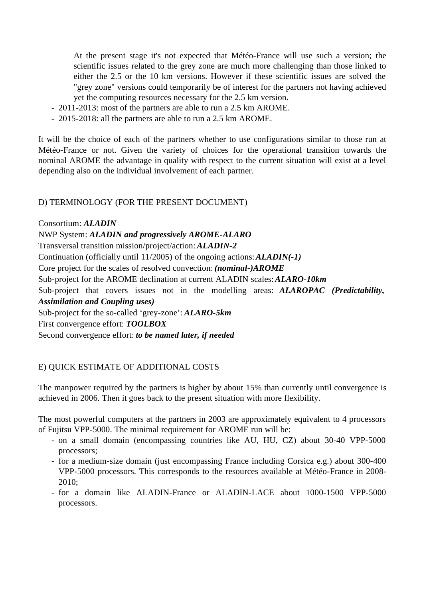At the present stage it's not expected that Météo-France will use such a version; the scientific issues related to the grey zone are much more challenging than those linked to either the 2.5 or the 10 km versions. However if these scientific issues are solved the "grey zone" versions could temporarily be of interest for the partners not having achieved yet the computing resources necessary for the 2.5 km version.

- 2011-2013: most of the partners are able to run a 2.5 km AROME.
- 2015-2018: all the partners are able to run a 2.5 km AROME.

It will be the choice of each of the partners whether to use configurations similar to those run at Météo-France or not. Given the variety of choices for the operational transition towards the nominal AROME the advantage in quality with respect to the current situation will exist at a level depending also on the individual involvement of each partner.

#### D) TERMINOLOGY (FOR THE PRESENT DOCUMENT)

Consortium: *ALADIN*

NWP System: *ALADIN and progressively AROME-ALARO*

Transversal transition mission/project/action: *ALADIN-2*

Continuation (officially until 11/2005) of the ongoing actions:*ALADIN(-1)*

Core project for the scales of resolved convection: *(nominal-)AROME*

Sub-project for the AROME declination at current ALADIN scales:*ALARO-10km*

Sub-project that covers issues not in the modelling areas: *ALAROPAC (Predictability, Assimilation and Coupling uses)*

Sub-project for the so-called 'grey-zone': *ALARO-5km*

First convergence effort: *TOOLBOX*

Second convergence effort: *to be named later, if needed*

## E) QUICK ESTIMATE OF ADDITIONAL COSTS

The manpower required by the partners is higher by about 15% than currently until convergence is achieved in 2006. Then it goes back to the present situation with more flexibility.

The most powerful computers at the partners in 2003 are approximately equivalent to 4 processors of Fujitsu VPP-5000. The minimal requirement for AROME run will be:

- on a small domain (encompassing countries like AU, HU, CZ) about 30-40 VPP-5000 processors;
- for a medium-size domain (just encompassing France including Corsica e.g.) about 300-400 VPP-5000 processors. This corresponds to the resources available at Météo-France in 2008- 2010;
- for a domain like ALADIN-France or ALADIN-LACE about 1000-1500 VPP-5000 processors.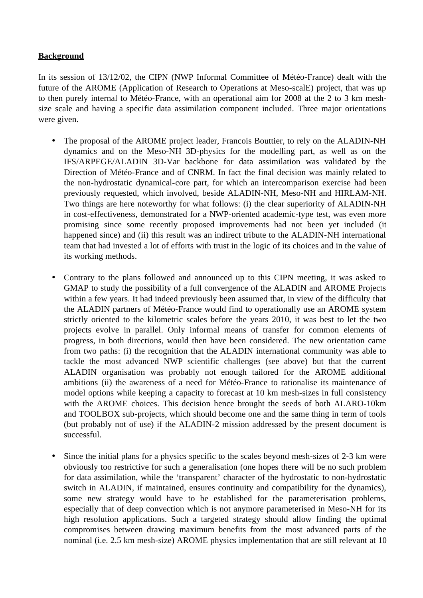## **Background**

In its session of 13/12/02, the CIPN (NWP Informal Committee of Météo-France) dealt with the future of the AROME (Application of Research to Operations at Meso-scalE) project, that was up to then purely internal to Météo-France, with an operational aim for 2008 at the 2 to 3 km meshsize scale and having a specific data assimilation component included. Three major orientations were given.

- The proposal of the AROME project leader, Francois Bouttier, to rely on the ALADIN-NH dynamics and on the Meso-NH 3D-physics for the modelling part, as well as on the IFS/ARPEGE/ALADIN 3D-Var backbone for data assimilation was validated by the Direction of Météo-France and of CNRM. In fact the final decision was mainly related to the non-hydrostatic dynamical-core part, for which an intercomparison exercise had been previously requested, which involved, beside ALADIN-NH, Meso-NH and HIRLAM-NH. Two things are here noteworthy for what follows: (i) the clear superiority of ALADIN-NH in cost-effectiveness, demonstrated for a NWP-oriented academic-type test, was even more promising since some recently proposed improvements had not been yet included (it happened since) and (ii) this result was an indirect tribute to the ALADIN-NH international team that had invested a lot of efforts with trust in the logic of its choices and in the value of its working methods.
- Contrary to the plans followed and announced up to this CIPN meeting, it was asked to GMAP to study the possibility of a full convergence of the ALADIN and AROME Projects within a few years. It had indeed previously been assumed that, in view of the difficulty that the ALADIN partners of Météo-France would find to operationally use an AROME system strictly oriented to the kilometric scales before the years 2010, it was best to let the two projects evolve in parallel. Only informal means of transfer for common elements of progress, in both directions, would then have been considered. The new orientation came from two paths: (i) the recognition that the ALADIN international community was able to tackle the most advanced NWP scientific challenges (see above) but that the current ALADIN organisation was probably not enough tailored for the AROME additional ambitions (ii) the awareness of a need for Météo-France to rationalise its maintenance of model options while keeping a capacity to forecast at 10 km mesh-sizes in full consistency with the AROME choices. This decision hence brought the seeds of both ALARO-10km and TOOLBOX sub-projects, which should become one and the same thing in term of tools (but probably not of use) if the ALADIN-2 mission addressed by the present document is successful.
- Since the initial plans for a physics specific to the scales beyond mesh-sizes of 2-3 km were obviously too restrictive for such a generalisation (one hopes there will be no such problem for data assimilation, while the 'transparent' character of the hydrostatic to non-hydrostatic switch in ALADIN, if maintained, ensures continuity and compatibility for the dynamics), some new strategy would have to be established for the parameterisation problems, especially that of deep convection which is not anymore parameterised in Meso-NH for its high resolution applications. Such a targeted strategy should allow finding the optimal compromises between drawing maximum benefits from the most advanced parts of the nominal (i.e. 2.5 km mesh-size) AROME physics implementation that are still relevant at 10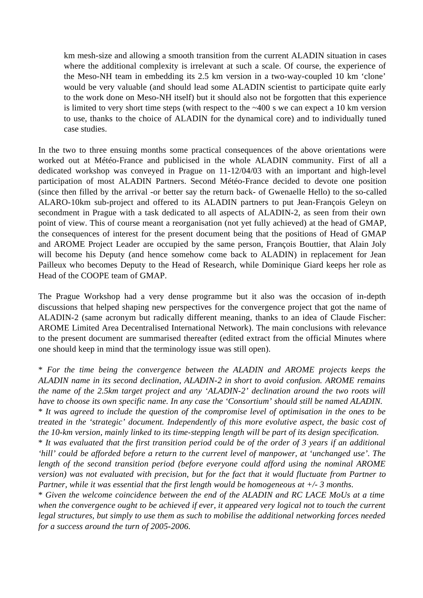km mesh-size and allowing a smooth transition from the current ALADIN situation in cases where the additional complexity is irrelevant at such a scale. Of course, the experience of the Meso-NH team in embedding its 2.5 km version in a two-way-coupled 10 km 'clone' would be very valuable (and should lead some ALADIN scientist to participate quite early to the work done on Meso-NH itself) but it should also not be forgotten that this experience is limited to very short time steps (with respect to the  $\sim$ 400 s we can expect a 10 km version to use, thanks to the choice of ALADIN for the dynamical core) and to individually tuned case studies.

In the two to three ensuing months some practical consequences of the above orientations were worked out at Météo-France and publicised in the whole ALADIN community. First of all a dedicated workshop was conveyed in Prague on 11-12/04/03 with an important and high-level participation of most ALADIN Partners. Second Météo-France decided to devote one position (since then filled by the arrival -or better say the return back- of Gwenaelle Hello) to the so-called ALARO-10km sub-project and offered to its ALADIN partners to put Jean-François Geleyn on secondment in Prague with a task dedicated to all aspects of ALADIN-2, as seen from their own point of view. This of course meant a reorganisation (not yet fully achieved) at the head of GMAP, the consequences of interest for the present document being that the positions of Head of GMAP and AROME Project Leader are occupied by the same person, François Bouttier, that Alain Joly will become his Deputy (and hence somehow come back to ALADIN) in replacement for Jean Pailleux who becomes Deputy to the Head of Research, while Dominique Giard keeps her role as Head of the COOPE team of GMAP.

The Prague Workshop had a very dense programme but it also was the occasion of in-depth discussions that helped shaping new perspectives for the convergence project that got the name of ALADIN-2 (same acronym but radically different meaning, thanks to an idea of Claude Fischer: AROME Limited Area Decentralised International Network). The main conclusions with relevance to the present document are summarised thereafter (edited extract from the official Minutes where one should keep in mind that the terminology issue was still open).

\* *For the time being the convergence between the ALADIN and AROME projects keeps the ALADIN name in its second declination, ALADIN-2 in short to avoid confusion. AROME remains the name of the 2.5km target project and any 'ALADIN-2' declination around the two roots will have to choose its own specific name. In any case the 'Consortium' should still be named ALADIN.* \* *It was agreed to include the question of the compromise level of optimisation in the ones to be treated in the 'strategic' document. Independently of this more evolutive aspect, the basic cost of the 10-km version, mainly linked to its time-stepping length will be part of its design specification.*  $*$  It was evaluated that the first transition period could be of the order of 3 years if an additional *'hill' could be afforded before a return to the current level of manpower, at 'unchanged use'. The length of the second transition period (before everyone could afford using the nominal AROME version) was not evaluated with precision, but for the fact that it would fluctuate from Partner to Partner, while it was essential that the first length would be homogeneous at +/- 3 months.*

\* *Given the welcome coincidence between the end of the ALADIN and RC LACE MoUs at a time when the convergence ought to be achieved if ever, it appeared very logical not to touch the current legal structures, but simply to use them as such to mobilise the additional networking forces needed for a success around the turn of 2005-2006.*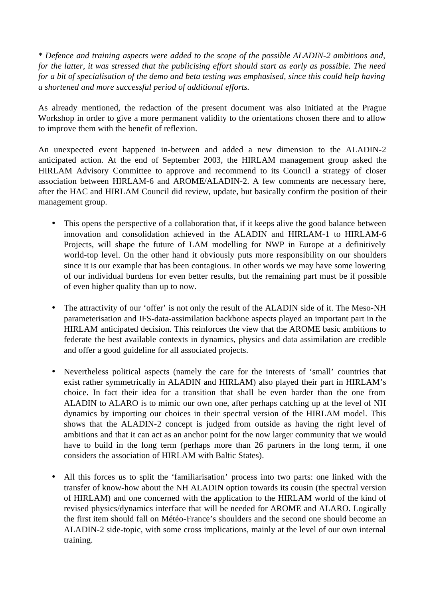\* *Defence and training aspects were added to the scope of the possible ALADIN-2 ambitions and,* for the latter, it was stressed that the publicising effort should start as early as possible. The need *for a bit of specialisation of the demo and beta testing was emphasised, since this could help having a shortened and more successful period of additional efforts.*

As already mentioned, the redaction of the present document was also initiated at the Prague Workshop in order to give a more permanent validity to the orientations chosen there and to allow to improve them with the benefit of reflexion.

An unexpected event happened in-between and added a new dimension to the ALADIN-2 anticipated action. At the end of September 2003, the HIRLAM management group asked the HIRLAM Advisory Committee to approve and recommend to its Council a strategy of closer association between HIRLAM-6 and AROME/ALADIN-2. A few comments are necessary here, after the HAC and HIRLAM Council did review, update, but basically confirm the position of their management group.

- This opens the perspective of a collaboration that, if it keeps alive the good balance between innovation and consolidation achieved in the ALADIN and HIRLAM-1 to HIRLAM-6 Projects, will shape the future of LAM modelling for NWP in Europe at a definitively world-top level. On the other hand it obviously puts more responsibility on our shoulders since it is our example that has been contagious. In other words we may have some lowering of our individual burdens for even better results, but the remaining part must be if possible of even higher quality than up to now.
- The attractivity of our 'offer' is not only the result of the ALADIN side of it. The Meso-NH parameterisation and IFS-data-assimilation backbone aspects played an important part in the HIRLAM anticipated decision. This reinforces the view that the AROME basic ambitions to federate the best available contexts in dynamics, physics and data assimilation are credible and offer a good guideline for all associated projects.
- Nevertheless political aspects (namely the care for the interests of 'small' countries that exist rather symmetrically in ALADIN and HIRLAM) also played their part in HIRLAM's choice. In fact their idea for a transition that shall be even harder than the one from ALADIN to ALARO is to mimic our own one, after perhaps catching up at the level of NH dynamics by importing our choices in their spectral version of the HIRLAM model. This shows that the ALADIN-2 concept is judged from outside as having the right level of ambitions and that it can act as an anchor point for the now larger community that we would have to build in the long term (perhaps more than 26 partners in the long term, if one considers the association of HIRLAM with Baltic States).
- All this forces us to split the 'familiarisation' process into two parts: one linked with the transfer of know-how about the NH ALADIN option towards its cousin (the spectral version of HIRLAM) and one concerned with the application to the HIRLAM world of the kind of revised physics/dynamics interface that will be needed for AROME and ALARO. Logically the first item should fall on Météo-France's shoulders and the second one should become an ALADIN-2 side-topic, with some cross implications, mainly at the level of our own internal training.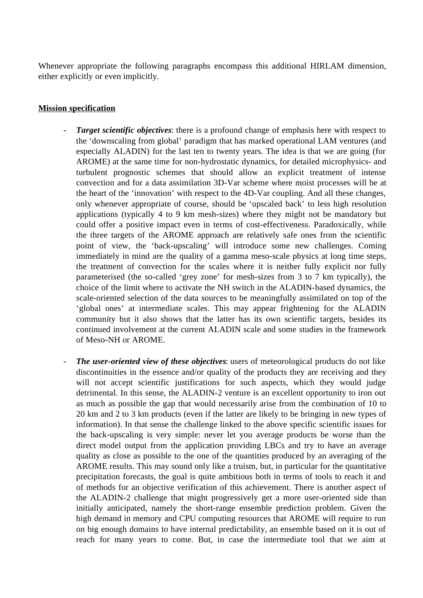Whenever appropriate the following paragraphs encompass this additional HIRLAM dimension, either explicitly or even implicitly.

### **Mission specification**

- *Target scientific objectives*: there is a profound change of emphasis here with respect to the 'downscaling from global' paradigm that has marked operational LAM ventures (and especially ALADIN) for the last ten to twenty years. The idea is that we are going (for AROME) at the same time for non-hydrostatic dynamics, for detailed microphysics- and turbulent prognostic schemes that should allow an explicit treatment of intense convection and for a data assimilation 3D-Var scheme where moist processes will be at the heart of the 'innovation' with respect to the 4D-Var coupling. And all these changes, only whenever appropriate of course, should be 'upscaled back' to less high resolution applications (typically 4 to 9 km mesh-sizes) where they might not be mandatory but could offer a positive impact even in terms of cost-effectiveness. Paradoxically, while the three targets of the AROME approach are relatively safe ones from the scientific point of view, the 'back-upscaling' will introduce some new challenges. Coming immediately in mind are the quality of a gamma meso-scale physics at long time steps, the treatment of convection for the scales where it is neither fully explicit nor fully parameterised (the so-called 'grey zone' for mesh-sizes from 3 to 7 km typically), the choice of the limit where to activate the NH switch in the ALADIN-based dynamics, the scale-oriented selection of the data sources to be meaningfully assimilated on top of the 'global ones' at intermediate scales. This may appear frightening for the ALADIN community but it also shows that the latter has its own scientific targets, besides its continued involvement at the current ALADIN scale and some studies in the framework of Meso-NH or AROME.
- *The user-oriented view of these objectives*: users of meteorological products do not like discontinuities in the essence and/or quality of the products they are receiving and they will not accept scientific justifications for such aspects, which they would judge detrimental. In this sense, the ALADIN-2 venture is an excellent opportunity to iron out as much as possible the gap that would necessarily arise from the combination of 10 to 20 km and 2 to 3 km products (even if the latter are likely to be bringing in new types of information). In that sense the challenge linked to the above specific scientific issues for the back-upscaling is very simple: never let you average products be worse than the direct model output from the application providing LBCs and try to have an average quality as close as possible to the one of the quantities produced by an averaging of the AROME results. This may sound only like a truism, but, in particular for the quantitative precipitation forecasts, the goal is quite ambitious both in terms of tools to reach it and of methods for an objective verification of this achievement. There is another aspect of the ALADIN-2 challenge that might progressively get a more user-oriented side than initially anticipated, namely the short-range ensemble prediction problem. Given the high demand in memory and CPU computing resources that AROME will require to run on big enough domains to have internal predictability, an ensemble based on it is out of reach for many years to come. But, in case the intermediate tool that we aim at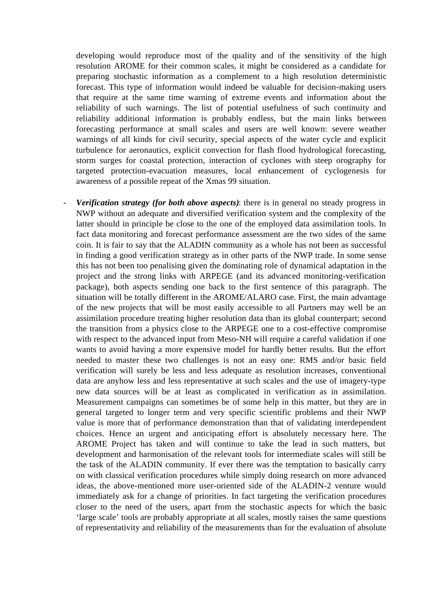developing would reproduce most of the quality and of the sensitivity of the high resolution AROME for their common scales, it might be considered as a candidate for preparing stochastic information as a complement to a high resolution deterministic forecast. This type of information would indeed be valuable for decision-making users that require at the same time warning of extreme events and information about the reliability of such warnings. The list of potential usefulness of such continuity and reliability additional information is probably endless, but the main links between forecasting performance at small scales and users are well known: severe weather warnings of all kinds for civil security, special aspects of the water cycle and explicit turbulence for aeronautics, explicit convection for flash flood hydrological forecasting, storm surges for coastal protection, interaction of cyclones with steep orography for targeted protection-evacuation measures, local enhancement of cyclogenesis for awareness of a possible repeat of the Xmas 99 situation.

- *Verification strategy (for both above aspects)*: there is in general no steady progress in NWP without an adequate and diversified verification system and the complexity of the latter should in principle be close to the one of the employed data assimilation tools. In fact data monitoring and forecast performance assessment are the two sides of the same coin. It is fair to say that the ALADIN community as a whole has not been as successful in finding a good verification strategy as in other parts of the NWP trade. In some sense this has not been too penalising given the dominating role of dynamical adaptation in the project and the strong links with ARPEGE (and its advanced monitoring-verification package), both aspects sending one back to the first sentence of this paragraph. The situation will be totally different in the AROME/ALARO case. First, the main advantage of the new projects that will be most easily accessible to all Partners may well be an assimilation procedure treating higher resolution data than its global counterpart; second the transition from a physics close to the ARPEGE one to a cost-effective compromise with respect to the advanced input from Meso-NH will require a careful validation if one wants to avoid having a more expensive model for hardly better results. But the effort needed to master these two challenges is not an easy one: RMS and/or basic field verification will surely be less and less adequate as resolution increases, conventional data are anyhow less and less representative at such scales and the use of imagery-type new data sources will be at least as complicated in verification as in assimilation. Measurement campaigns can sometimes be of some help in this matter, but they are in general targeted to longer term and very specific scientific problems and their NWP value is more that of performance demonstration than that of validating interdependent choices. Hence an urgent and anticipating effort is absolutely necessary here. The AROME Project has taken and will continue to take the lead in such matters, but development and harmonisation of the relevant tools for intermediate scales will still be the task of the ALADIN community. If ever there was the temptation to basically carry on with classical verification procedures while simply doing research on more advanced ideas, the above-mentioned more user-oriented side of the ALADIN-2 venture would immediately ask for a change of priorities. In fact targeting the verification procedures closer to the need of the users, apart from the stochastic aspects for which the basic 'large scale' tools are probably appropriate at all scales, mostly raises the same questions of representativity and reliability of the measurements than for the evaluation of absolute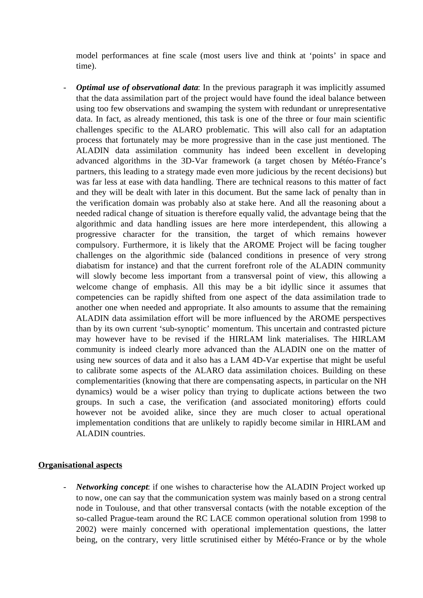model performances at fine scale (most users live and think at 'points' in space and time).

- *Optimal use of observational data*: In the previous paragraph it was implicitly assumed that the data assimilation part of the project would have found the ideal balance between using too few observations and swamping the system with redundant or unrepresentative data. In fact, as already mentioned, this task is one of the three or four main scientific challenges specific to the ALARO problematic. This will also call for an adaptation process that fortunately may be more progressive than in the case just mentioned. The ALADIN data assimilation community has indeed been excellent in developing advanced algorithms in the 3D-Var framework (a target chosen by Météo-France's partners, this leading to a strategy made even more judicious by the recent decisions) but was far less at ease with data handling. There are technical reasons to this matter of fact and they will be dealt with later in this document. But the same lack of penalty than in the verification domain was probably also at stake here. And all the reasoning about a needed radical change of situation is therefore equally valid, the advantage being that the algorithmic and data handling issues are here more interdependent, this allowing a progressive character for the transition, the target of which remains however compulsory. Furthermore, it is likely that the AROME Project will be facing tougher challenges on the algorithmic side (balanced conditions in presence of very strong diabatism for instance) and that the current forefront role of the ALADIN community will slowly become less important from a transversal point of view, this allowing a welcome change of emphasis. All this may be a bit idyllic since it assumes that competencies can be rapidly shifted from one aspect of the data assimilation trade to another one when needed and appropriate. It also amounts to assume that the remaining ALADIN data assimilation effort will be more influenced by the AROME perspectives than by its own current 'sub-synoptic' momentum. This uncertain and contrasted picture may however have to be revised if the HIRLAM link materialises. The HIRLAM community is indeed clearly more advanced than the ALADIN one on the matter of using new sources of data and it also has a LAM 4D-Var expertise that might be useful to calibrate some aspects of the ALARO data assimilation choices. Building on these complementarities (knowing that there are compensating aspects, in particular on the NH dynamics) would be a wiser policy than trying to duplicate actions between the two groups. In such a case, the verification (and associated monitoring) efforts could however not be avoided alike, since they are much closer to actual operational implementation conditions that are unlikely to rapidly become similar in HIRLAM and ALADIN countries.

#### **Organisational aspects**

- *Networking concept*: if one wishes to characterise how the ALADIN Project worked up to now, one can say that the communication system was mainly based on a strong central node in Toulouse, and that other transversal contacts (with the notable exception of the so-called Prague-team around the RC LACE common operational solution from 1998 to 2002) were mainly concerned with operational implementation questions, the latter being, on the contrary, very little scrutinised either by Météo-France or by the whole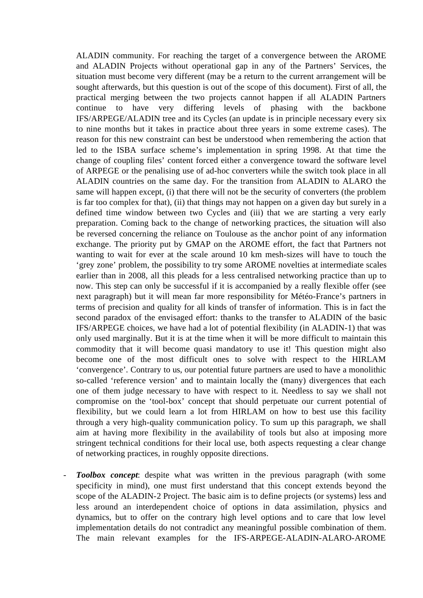ALADIN community. For reaching the target of a convergence between the AROME and ALADIN Projects without operational gap in any of the Partners' Services, the situation must become very different (may be a return to the current arrangement will be sought afterwards, but this question is out of the scope of this document). First of all, the practical merging between the two projects cannot happen if all ALADIN Partners continue to have very differing levels of phasing with the backbone IFS/ARPEGE/ALADIN tree and its Cycles (an update is in principle necessary every six to nine months but it takes in practice about three years in some extreme cases). The reason for this new constraint can best be understood when remembering the action that led to the ISBA surface scheme's implementation in spring 1998. At that time the change of coupling files' content forced either a convergence toward the software level of ARPEGE or the penalising use of ad-hoc converters while the switch took place in all ALADIN countries on the same day. For the transition from ALADIN to ALARO the same will happen except, (i) that there will not be the security of converters (the problem is far too complex for that), (ii) that things may not happen on a given day but surely in a defined time window between two Cycles and (iii) that we are starting a very early preparation. Coming back to the change of networking practices, the situation will also be reversed concerning the reliance on Toulouse as the anchor point of any information exchange. The priority put by GMAP on the AROME effort, the fact that Partners not wanting to wait for ever at the scale around 10 km mesh-sizes will have to touch the 'grey zone' problem, the possibility to try some AROME novelties at intermediate scales earlier than in 2008, all this pleads for a less centralised networking practice than up to now. This step can only be successful if it is accompanied by a really flexible offer (see next paragraph) but it will mean far more responsibility for Météo-France's partners in terms of precision and quality for all kinds of transfer of information. This is in fact the second paradox of the envisaged effort: thanks to the transfer to ALADIN of the basic IFS/ARPEGE choices, we have had a lot of potential flexibility (in ALADIN-1) that was only used marginally. But it is at the time when it will be more difficult to maintain this commodity that it will become quasi mandatory to use it! This question might also become one of the most difficult ones to solve with respect to the HIRLAM 'convergence'. Contrary to us, our potential future partners are used to have a monolithic so-called 'reference version' and to maintain locally the (many) divergences that each one of them judge necessary to have with respect to it. Needless to say we shall not compromise on the 'tool-box' concept that should perpetuate our current potential of flexibility, but we could learn a lot from HIRLAM on how to best use this facility through a very high-quality communication policy. To sum up this paragraph, we shall aim at having more flexibility in the availability of tools but also at imposing more stringent technical conditions for their local use, both aspects requesting a clear change of networking practices, in roughly opposite directions.

- *Toolbox concept*: despite what was written in the previous paragraph (with some specificity in mind), one must first understand that this concept extends beyond the scope of the ALADIN-2 Project. The basic aim is to define projects (or systems) less and less around an interdependent choice of options in data assimilation, physics and dynamics, but to offer on the contrary high level options and to care that low level implementation details do not contradict any meaningful possible combination of them. The main relevant examples for the IFS-ARPEGE-ALADIN-ALARO-AROME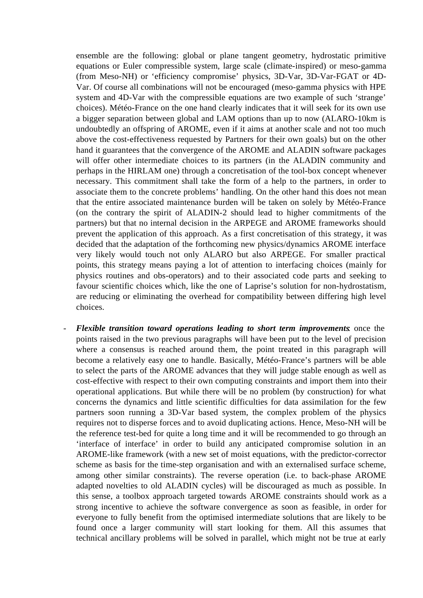ensemble are the following: global or plane tangent geometry, hydrostatic primitive equations or Euler compressible system, large scale (climate-inspired) or meso-gamma (from Meso-NH) or 'efficiency compromise' physics, 3D-Var, 3D-Var-FGAT or 4D-Var. Of course all combinations will not be encouraged (meso-gamma physics with HPE system and 4D-Var with the compressible equations are two example of such 'strange' choices). Météo-France on the one hand clearly indicates that it will seek for its own use a bigger separation between global and LAM options than up to now (ALARO-10km is undoubtedly an offspring of AROME, even if it aims at another scale and not too much above the cost-effectiveness requested by Partners for their own goals) but on the other hand it guarantees that the convergence of the AROME and ALADIN software packages will offer other intermediate choices to its partners (in the ALADIN community and perhaps in the HIRLAM one) through a concretisation of the tool-box concept whenever necessary. This commitment shall take the form of a help to the partners, in order to associate them to the concrete problems' handling. On the other hand this does not mean that the entire associated maintenance burden will be taken on solely by Météo-France (on the contrary the spirit of ALADIN-2 should lead to higher commitments of the partners) but that no internal decision in the ARPEGE and AROME frameworks should prevent the application of this approach. As a first concretisation of this strategy, it was decided that the adaptation of the forthcoming new physics/dynamics AROME interface very likely would touch not only ALARO but also ARPEGE. For smaller practical points, this strategy means paying a lot of attention to interfacing choices (mainly for physics routines and obs-operators) and to their associated code parts and seeking to favour scientific choices which, like the one of Laprise's solution for non-hydrostatism, are reducing or eliminating the overhead for compatibility between differing high level choices.

- *Flexible transition toward operations leading to short term improvements*: once the points raised in the two previous paragraphs will have been put to the level of precision where a consensus is reached around them, the point treated in this paragraph will become a relatively easy one to handle. Basically, Météo-France's partners will be able to select the parts of the AROME advances that they will judge stable enough as well as cost-effective with respect to their own computing constraints and import them into their operational applications. But while there will be no problem (by construction) for what concerns the dynamics and little scientific difficulties for data assimilation for the few partners soon running a 3D-Var based system, the complex problem of the physics requires not to disperse forces and to avoid duplicating actions. Hence, Meso-NH will be the reference test-bed for quite a long time and it will be recommended to go through an 'interface of interface' in order to build any anticipated compromise solution in an AROME-like framework (with a new set of moist equations, with the predictor-corrector scheme as basis for the time-step organisation and with an externalised surface scheme, among other similar constraints). The reverse operation (i.e. to back-phase AROME adapted novelties to old ALADIN cycles) will be discouraged as much as possible. In this sense, a toolbox approach targeted towards AROME constraints should work as a strong incentive to achieve the software convergence as soon as feasible, in order for everyone to fully benefit from the optimised intermediate solutions that are likely to be found once a larger community will start looking for them. All this assumes that technical ancillary problems will be solved in parallel, which might not be true at early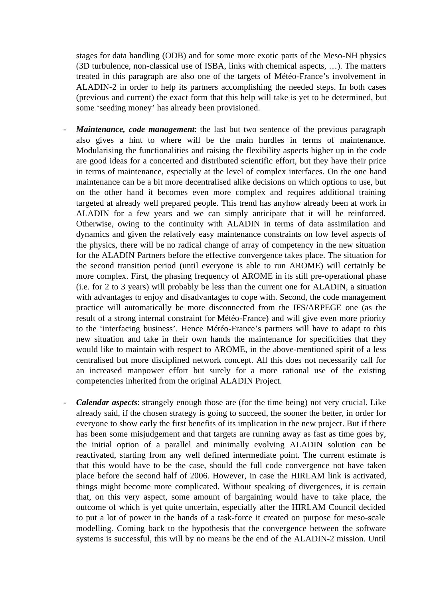stages for data handling (ODB) and for some more exotic parts of the Meso-NH physics (3D turbulence, non-classical use of ISBA, links with chemical aspects, …). The matters treated in this paragraph are also one of the targets of Météo-France's involvement in ALADIN-2 in order to help its partners accomplishing the needed steps. In both cases (previous and current) the exact form that this help will take is yet to be determined, but some 'seeding money' has already been provisioned.

- *Maintenance, code management*: the last but two sentence of the previous paragraph also gives a hint to where will be the main hurdles in terms of maintenance. Modularising the functionalities and raising the flexibility aspects higher up in the code are good ideas for a concerted and distributed scientific effort, but they have their price in terms of maintenance, especially at the level of complex interfaces. On the one hand maintenance can be a bit more decentralised alike decisions on which options to use, but on the other hand it becomes even more complex and requires additional training targeted at already well prepared people. This trend has anyhow already been at work in ALADIN for a few years and we can simply anticipate that it will be reinforced. Otherwise, owing to the continuity with ALADIN in terms of data assimilation and dynamics and given the relatively easy maintenance constraints on low level aspects of the physics, there will be no radical change of array of competency in the new situation for the ALADIN Partners before the effective convergence takes place. The situation for the second transition period (until everyone is able to run AROME) will certainly be more complex. First, the phasing frequency of AROME in its still pre-operational phase (i.e. for 2 to 3 years) will probably be less than the current one for ALADIN, a situation with advantages to enjoy and disadvantages to cope with. Second, the code management practice will automatically be more disconnected from the IFS/ARPEGE one (as the result of a strong internal constraint for Météo-France) and will give even more priority to the 'interfacing business'. Hence Météo-France's partners will have to adapt to this new situation and take in their own hands the maintenance for specificities that they would like to maintain with respect to AROME, in the above-mentioned spirit of a less centralised but more disciplined network concept. All this does not necessarily call for an increased manpower effort but surely for a more rational use of the existing competencies inherited from the original ALADIN Project.
- *Calendar aspects*: strangely enough those are (for the time being) not very crucial. Like already said, if the chosen strategy is going to succeed, the sooner the better, in order for everyone to show early the first benefits of its implication in the new project. But if there has been some misjudgement and that targets are running away as fast as time goes by, the initial option of a parallel and minimally evolving ALADIN solution can be reactivated, starting from any well defined intermediate point. The current estimate is that this would have to be the case, should the full code convergence not have taken place before the second half of 2006. However, in case the HIRLAM link is activated, things might become more complicated. Without speaking of divergences, it is certain that, on this very aspect, some amount of bargaining would have to take place, the outcome of which is yet quite uncertain, especially after the HIRLAM Council decided to put a lot of power in the hands of a task-force it created on purpose for meso-scale modelling. Coming back to the hypothesis that the convergence between the software systems is successful, this will by no means be the end of the ALADIN-2 mission. Until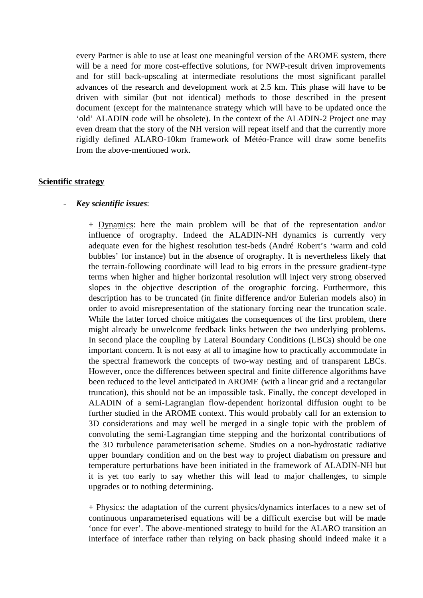every Partner is able to use at least one meaningful version of the AROME system, there will be a need for more cost-effective solutions, for NWP-result driven improvements and for still back-upscaling at intermediate resolutions the most significant parallel advances of the research and development work at 2.5 km. This phase will have to be driven with similar (but not identical) methods to those described in the present document (except for the maintenance strategy which will have to be updated once the 'old' ALADIN code will be obsolete). In the context of the ALADIN-2 Project one may even dream that the story of the NH version will repeat itself and that the currently more rigidly defined ALARO-10km framework of Météo-France will draw some benefits from the above-mentioned work.

#### **Scientific strategy**

#### - *Key scientific issues*:

+ Dynamics: here the main problem will be that of the representation and/or influence of orography. Indeed the ALADIN-NH dynamics is currently very adequate even for the highest resolution test-beds (André Robert's 'warm and cold bubbles' for instance) but in the absence of orography. It is nevertheless likely that the terrain-following coordinate will lead to big errors in the pressure gradient-type terms when higher and higher horizontal resolution will inject very strong observed slopes in the objective description of the orographic forcing. Furthermore, this description has to be truncated (in finite difference and/or Eulerian models also) in order to avoid misrepresentation of the stationary forcing near the truncation scale. While the latter forced choice mitigates the consequences of the first problem, there might already be unwelcome feedback links between the two underlying problems. In second place the coupling by Lateral Boundary Conditions (LBCs) should be one important concern. It is not easy at all to imagine how to practically accommodate in the spectral framework the concepts of two-way nesting and of transparent LBCs. However, once the differences between spectral and finite difference algorithms have been reduced to the level anticipated in AROME (with a linear grid and a rectangular truncation), this should not be an impossible task. Finally, the concept developed in ALADIN of a semi-Lagrangian flow-dependent horizontal diffusion ought to be further studied in the AROME context. This would probably call for an extension to 3D considerations and may well be merged in a single topic with the problem of convoluting the semi-Lagrangian time stepping and the horizontal contributions of the 3D turbulence parameterisation scheme. Studies on a non-hydrostatic radiative upper boundary condition and on the best way to project diabatism on pressure and temperature perturbations have been initiated in the framework of ALADIN-NH but it is yet too early to say whether this will lead to major challenges, to simple upgrades or to nothing determining.

+ Physics: the adaptation of the current physics/dynamics interfaces to a new set of continuous unparameterised equations will be a difficult exercise but will be made 'once for ever'. The above-mentioned strategy to build for the ALARO transition an interface of interface rather than relying on back phasing should indeed make it a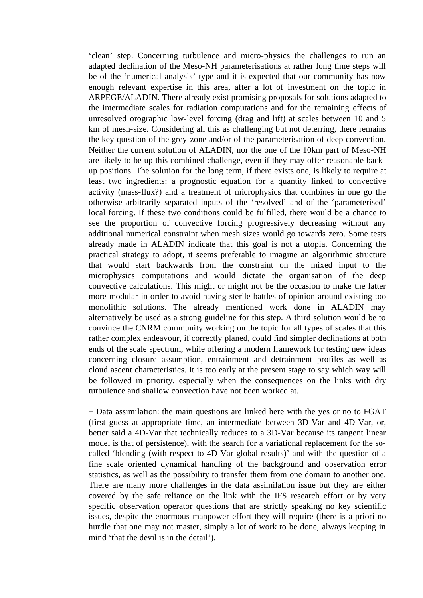'clean' step. Concerning turbulence and micro-physics the challenges to run an adapted declination of the Meso-NH parameterisations at rather long time steps will be of the 'numerical analysis' type and it is expected that our community has now enough relevant expertise in this area, after a lot of investment on the topic in ARPEGE/ALADIN. There already exist promising proposals for solutions adapted to the intermediate scales for radiation computations and for the remaining effects of unresolved orographic low-level forcing (drag and lift) at scales between 10 and 5 km of mesh-size. Considering all this as challenging but not deterring, there remains the key question of the grey-zone and/or of the parameterisation of deep convection. Neither the current solution of ALADIN, nor the one of the 10km part of Meso-NH are likely to be up this combined challenge, even if they may offer reasonable backup positions. The solution for the long term, if there exists one, is likely to require at least two ingredients: a prognostic equation for a quantity linked to convective activity (mass-flux?) and a treatment of microphysics that combines in one go the otherwise arbitrarily separated inputs of the 'resolved' and of the 'parameterised' local forcing. If these two conditions could be fulfilled, there would be a chance to see the proportion of convective forcing progressively decreasing without any additional numerical constraint when mesh sizes would go towards zero. Some tests already made in ALADIN indicate that this goal is not a utopia. Concerning the practical strategy to adopt, it seems preferable to imagine an algorithmic structure that would start backwards from the constraint on the mixed input to the microphysics computations and would dictate the organisation of the deep convective calculations. This might or might not be the occasion to make the latter more modular in order to avoid having sterile battles of opinion around existing too monolithic solutions. The already mentioned work done in ALADIN may alternatively be used as a strong guideline for this step. A third solution would be to convince the CNRM community working on the topic for all types of scales that this rather complex endeavour, if correctly planed, could find simpler declinations at both ends of the scale spectrum, while offering a modern framework for testing new ideas concerning closure assumption, entrainment and detrainment profiles as well as cloud ascent characteristics. It is too early at the present stage to say which way will be followed in priority, especially when the consequences on the links with dry turbulence and shallow convection have not been worked at.

+ Data assimilation: the main questions are linked here with the yes or no to FGAT (first guess at appropriate time, an intermediate between 3D-Var and 4D-Var, or, better said a 4D-Var that technically reduces to a 3D-Var because its tangent linear model is that of persistence), with the search for a variational replacement for the socalled 'blending (with respect to 4D-Var global results)' and with the question of a fine scale oriented dynamical handling of the background and observation error statistics, as well as the possibility to transfer them from one domain to another one. There are many more challenges in the data assimilation issue but they are either covered by the safe reliance on the link with the IFS research effort or by very specific observation operator questions that are strictly speaking no key scientific issues, despite the enormous manpower effort they will require (there is a priori no hurdle that one may not master, simply a lot of work to be done, always keeping in mind 'that the devil is in the detail').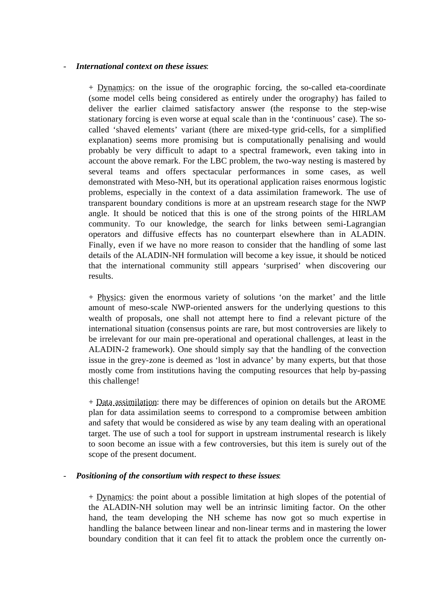#### - *International context on these issues*:

+ Dynamics: on the issue of the orographic forcing, the so-called eta-coordinate (some model cells being considered as entirely under the orography) has failed to deliver the earlier claimed satisfactory answer (the response to the step-wise stationary forcing is even worse at equal scale than in the 'continuous' case). The socalled 'shaved elements' variant (there are mixed-type grid-cells, for a simplified explanation) seems more promising but is computationally penalising and would probably be very difficult to adapt to a spectral framework, even taking into in account the above remark. For the LBC problem, the two-way nesting is mastered by several teams and offers spectacular performances in some cases, as well demonstrated with Meso-NH, but its operational application raises enormous logistic problems, especially in the context of a data assimilation framework. The use of transparent boundary conditions is more at an upstream research stage for the NWP angle. It should be noticed that this is one of the strong points of the HIRLAM community. To our knowledge, the search for links between semi-Lagrangian operators and diffusive effects has no counterpart elsewhere than in ALADIN. Finally, even if we have no more reason to consider that the handling of some last details of the ALADIN-NH formulation will become a key issue, it should be noticed that the international community still appears 'surprised' when discovering our results.

+ Physics: given the enormous variety of solutions 'on the market' and the little amount of meso-scale NWP-oriented answers for the underlying questions to this wealth of proposals, one shall not attempt here to find a relevant picture of the international situation (consensus points are rare, but most controversies are likely to be irrelevant for our main pre-operational and operational challenges, at least in the ALADIN-2 framework). One should simply say that the handling of the convection issue in the grey-zone is deemed as 'lost in advance' by many experts, but that those mostly come from institutions having the computing resources that help by-passing this challenge!

+ Data assimilation: there may be differences of opinion on details but the AROME plan for data assimilation seems to correspond to a compromise between ambition and safety that would be considered as wise by any team dealing with an operational target. The use of such a tool for support in upstream instrumental research is likely to soon become an issue with a few controversies, but this item is surely out of the scope of the present document.

#### - *Positioning of the consortium with respect to these issues*:

+ Dynamics: the point about a possible limitation at high slopes of the potential of the ALADIN-NH solution may well be an intrinsic limiting factor. On the other hand, the team developing the NH scheme has now got so much expertise in handling the balance between linear and non-linear terms and in mastering the lower boundary condition that it can feel fit to attack the problem once the currently on-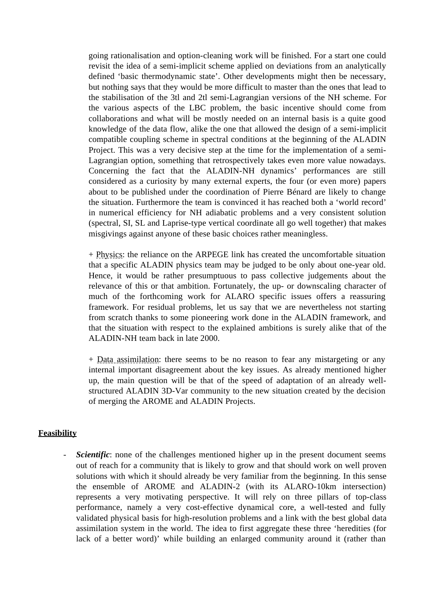going rationalisation and option-cleaning work will be finished. For a start one could revisit the idea of a semi-implicit scheme applied on deviations from an analytically defined 'basic thermodynamic state'. Other developments might then be necessary, but nothing says that they would be more difficult to master than the ones that lead to the stabilisation of the 3tl and 2tl semi-Lagrangian versions of the NH scheme. For the various aspects of the LBC problem, the basic incentive should come from collaborations and what will be mostly needed on an internal basis is a quite good knowledge of the data flow, alike the one that allowed the design of a semi-implicit compatible coupling scheme in spectral conditions at the beginning of the ALADIN Project. This was a very decisive step at the time for the implementation of a semi-Lagrangian option, something that retrospectively takes even more value nowadays. Concerning the fact that the ALADIN-NH dynamics' performances are still considered as a curiosity by many external experts, the four (or even more) papers about to be published under the coordination of Pierre Bénard are likely to change the situation. Furthermore the team is convinced it has reached both a 'world record' in numerical efficiency for NH adiabatic problems and a very consistent solution (spectral, SI, SL and Laprise-type vertical coordinate all go well together) that makes misgivings against anyone of these basic choices rather meaningless.

+ Physics: the reliance on the ARPEGE link has created the uncomfortable situation that a specific ALADIN physics team may be judged to be only about one-year old. Hence, it would be rather presumptuous to pass collective judgements about the relevance of this or that ambition. Fortunately, the up- or downscaling character of much of the forthcoming work for ALARO specific issues offers a reassuring framework. For residual problems, let us say that we are nevertheless not starting from scratch thanks to some pioneering work done in the ALADIN framework, and that the situation with respect to the explained ambitions is surely alike that of the ALADIN-NH team back in late 2000.

+ Data assimilation: there seems to be no reason to fear any mistargeting or any internal important disagreement about the key issues. As already mentioned higher up, the main question will be that of the speed of adaptation of an already wellstructured ALADIN 3D-Var community to the new situation created by the decision of merging the AROME and ALADIN Projects.

#### **Feasibility**

- *Scientific*: none of the challenges mentioned higher up in the present document seems out of reach for a community that is likely to grow and that should work on well proven solutions with which it should already be very familiar from the beginning. In this sense the ensemble of AROME and ALADIN-2 (with its ALARO-10km intersection) represents a very motivating perspective. It will rely on three pillars of top-class performance, namely a very cost-effective dynamical core, a well-tested and fully validated physical basis for high-resolution problems and a link with the best global data assimilation system in the world. The idea to first aggregate these three 'heredities (for lack of a better word)' while building an enlarged community around it (rather than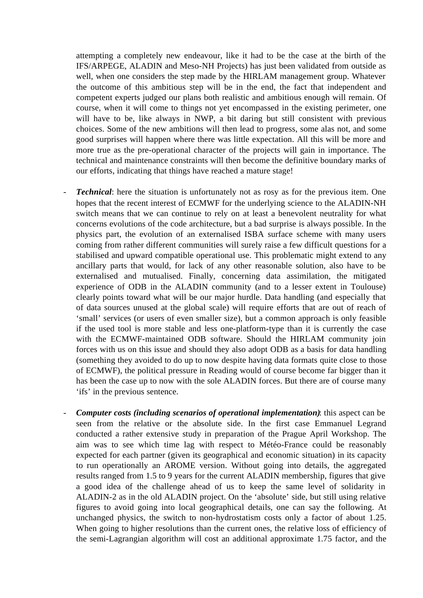attempting a completely new endeavour, like it had to be the case at the birth of the IFS/ARPEGE, ALADIN and Meso-NH Projects) has just been validated from outside as well, when one considers the step made by the HIRLAM management group. Whatever the outcome of this ambitious step will be in the end, the fact that independent and competent experts judged our plans both realistic and ambitious enough will remain. Of course, when it will come to things not yet encompassed in the existing perimeter, one will have to be, like always in NWP, a bit daring but still consistent with previous choices. Some of the new ambitions will then lead to progress, some alas not, and some good surprises will happen where there was little expectation. All this will be more and more true as the pre-operational character of the projects will gain in importance. The technical and maintenance constraints will then become the definitive boundary marks of our efforts, indicating that things have reached a mature stage!

- *Technical*: here the situation is unfortunately not as rosy as for the previous item. One hopes that the recent interest of ECMWF for the underlying science to the ALADIN-NH switch means that we can continue to rely on at least a benevolent neutrality for what concerns evolutions of the code architecture, but a bad surprise is always possible. In the physics part, the evolution of an externalised ISBA surface scheme with many users coming from rather different communities will surely raise a few difficult questions for a stabilised and upward compatible operational use. This problematic might extend to any ancillary parts that would, for lack of any other reasonable solution, also have to be externalised and mutualised. Finally, concerning data assimilation, the mitigated experience of ODB in the ALADIN community (and to a lesser extent in Toulouse) clearly points toward what will be our major hurdle. Data handling (and especially that of data sources unused at the global scale) will require efforts that are out of reach of 'small' services (or users of even smaller size), but a common approach is only feasible if the used tool is more stable and less one-platform-type than it is currently the case with the ECMWF-maintained ODB software. Should the HIRLAM community join forces with us on this issue and should they also adopt ODB as a basis for data handling (something they avoided to do up to now despite having data formats quite close to those of ECMWF), the political pressure in Reading would of course become far bigger than it has been the case up to now with the sole ALADIN forces. But there are of course many 'ifs' in the previous sentence.
- *Computer costs (including scenarios of operational implementation)*: this aspect can be seen from the relative or the absolute side. In the first case Emmanuel Legrand conducted a rather extensive study in preparation of the Prague April Workshop. The aim was to see which time lag with respect to Météo-France could be reasonably expected for each partner (given its geographical and economic situation) in its capacity to run operationally an AROME version. Without going into details, the aggregated results ranged from 1.5 to 9 years for the current ALADIN membership, figures that give a good idea of the challenge ahead of us to keep the same level of solidarity in ALADIN-2 as in the old ALADIN project. On the 'absolute' side, but still using relative figures to avoid going into local geographical details, one can say the following. At unchanged physics, the switch to non-hydrostatism costs only a factor of about 1.25. When going to higher resolutions than the current ones, the relative loss of efficiency of the semi-Lagrangian algorithm will cost an additional approximate 1.75 factor, and the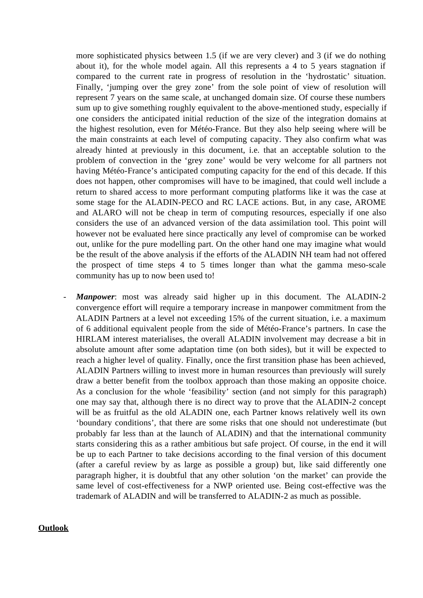more sophisticated physics between 1.5 (if we are very clever) and 3 (if we do nothing about it), for the whole model again. All this represents a 4 to 5 years stagnation if compared to the current rate in progress of resolution in the 'hydrostatic' situation. Finally, 'jumping over the grey zone' from the sole point of view of resolution will represent 7 years on the same scale, at unchanged domain size. Of course these numbers sum up to give something roughly equivalent to the above-mentioned study, especially if one considers the anticipated initial reduction of the size of the integration domains at the highest resolution, even for Météo-France. But they also help seeing where will be the main constraints at each level of computing capacity. They also confirm what was already hinted at previously in this document, i.e. that an acceptable solution to the problem of convection in the 'grey zone' would be very welcome for all partners not having Météo-France's anticipated computing capacity for the end of this decade. If this does not happen, other compromises will have to be imagined, that could well include a return to shared access to more performant computing platforms like it was the case at some stage for the ALADIN-PECO and RC LACE actions. But, in any case, AROME and ALARO will not be cheap in term of computing resources, especially if one also considers the use of an advanced version of the data assimilation tool. This point will however not be evaluated here since practically any level of compromise can be worked out, unlike for the pure modelling part. On the other hand one may imagine what would be the result of the above analysis if the efforts of the ALADIN NH team had not offered the prospect of time steps 4 to 5 times longer than what the gamma meso-scale community has up to now been used to!

*Manpower*: most was already said higher up in this document. The ALADIN-2 convergence effort will require a temporary increase in manpower commitment from the ALADIN Partners at a level not exceeding 15% of the current situation, i.e. a maximum of 6 additional equivalent people from the side of Météo-France's partners. In case the HIRLAM interest materialises, the overall ALADIN involvement may decrease a bit in absolute amount after some adaptation time (on both sides), but it will be expected to reach a higher level of quality. Finally, once the first transition phase has been achieved, ALADIN Partners willing to invest more in human resources than previously will surely draw a better benefit from the toolbox approach than those making an opposite choice. As a conclusion for the whole 'feasibility' section (and not simply for this paragraph) one may say that, although there is no direct way to prove that the ALADIN-2 concept will be as fruitful as the old ALADIN one, each Partner knows relatively well its own 'boundary conditions', that there are some risks that one should not underestimate (but probably far less than at the launch of ALADIN) and that the international community starts considering this as a rather ambitious but safe project. Of course, in the end it will be up to each Partner to take decisions according to the final version of this document (after a careful review by as large as possible a group) but, like said differently one paragraph higher, it is doubtful that any other solution 'on the market' can provide the same level of cost-effectiveness for a NWP oriented use. Being cost-effective was the trademark of ALADIN and will be transferred to ALADIN-2 as much as possible.

#### **Outlook**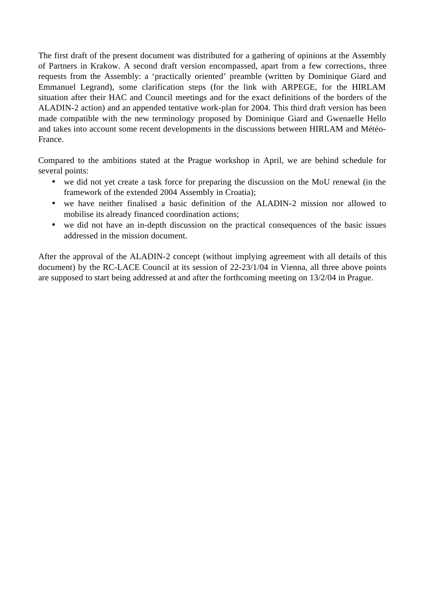The first draft of the present document was distributed for a gathering of opinions at the Assembly of Partners in Krakow. A second draft version encompassed, apart from a few corrections, three requests from the Assembly: a 'practically oriented' preamble (written by Dominique Giard and Emmanuel Legrand), some clarification steps (for the link with ARPEGE, for the HIRLAM situation after their HAC and Council meetings and for the exact definitions of the borders of the ALADIN-2 action) and an appended tentative work-plan for 2004. This third draft version has been made compatible with the new terminology proposed by Dominique Giard and Gwenaelle Hello and takes into account some recent developments in the discussions between HIRLAM and Météo-France.

Compared to the ambitions stated at the Prague workshop in April, we are behind schedule for several points:

- we did not yet create a task force for preparing the discussion on the MoU renewal (in the framework of the extended 2004 Assembly in Croatia);
- we have neither finalised a basic definition of the ALADIN-2 mission nor allowed to mobilise its already financed coordination actions;
- we did not have an in-depth discussion on the practical consequences of the basic issues addressed in the mission document.

After the approval of the ALADIN-2 concept (without implying agreement with all details of this document) by the RC-LACE Council at its session of 22-23/1/04 in Vienna, all three above points are supposed to start being addressed at and after the forthcoming meeting on 13/2/04 in Prague.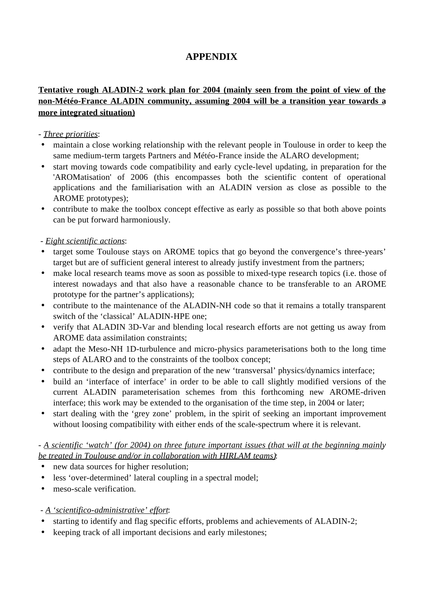# **APPENDIX**

## **Tentative rough ALADIN-2 work plan for 2004 (mainly seen from the point of view of the non-Météo-France ALADIN community, assuming 2004 will be a transition year towards a more integrated situation)**

## - *Three priorities*:

- maintain a close working relationship with the relevant people in Toulouse in order to keep the same medium-term targets Partners and Météo-France inside the ALARO development;
- start moving towards code compatibility and early cycle-level updating, in preparation for the 'AROMatisation' of 2006 (this encompasses both the scientific content of operational applications and the familiarisation with an ALADIN version as close as possible to the AROME prototypes);
- contribute to make the toolbox concept effective as early as possible so that both above points can be put forward harmoniously.

## - *Eight scientific actions*:

- target some Toulouse stays on AROME topics that go beyond the convergence's three-years' target but are of sufficient general interest to already justify investment from the partners;
- make local research teams move as soon as possible to mixed-type research topics (i.e. those of interest nowadays and that also have a reasonable chance to be transferable to an AROME prototype for the partner's applications);
- contribute to the maintenance of the ALADIN-NH code so that it remains a totally transparent switch of the 'classical' ALADIN-HPE one;
- verify that ALADIN 3D-Var and blending local research efforts are not getting us away from AROME data assimilation constraints;
- adapt the Meso-NH 1D-turbulence and micro-physics parameterisations both to the long time steps of ALARO and to the constraints of the toolbox concept;
- contribute to the design and preparation of the new 'transversal' physics/dynamics interface;
- build an 'interface of interface' in order to be able to call slightly modified versions of the current ALADIN parameterisation schemes from this forthcoming new AROME-driven interface; this work may be extended to the organisation of the time step, in 2004 or later;
- start dealing with the 'grey zone' problem, in the spirit of seeking an important improvement without loosing compatibility with either ends of the scale-spectrum where it is relevant.

## - *A scientific 'watch' (for 2004) on three future important issues (that will at the beginning mainly be treated in Toulouse and/or in collaboration with HIRLAM teams)*:

- new data sources for higher resolution;
- less 'over-determined' lateral coupling in a spectral model;
- meso-scale verification.

## - *A 'scientifico-administrative' effort*:

- starting to identify and flag specific efforts, problems and achievements of ALADIN-2;
- keeping track of all important decisions and early milestones;